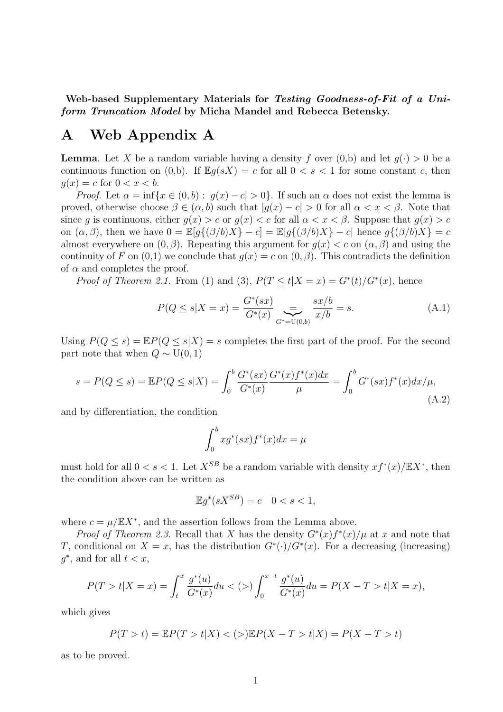Web-based Supplementary Materials for Testing Goodness-of-Fit of a Uniform Truncation Model by Micha Mandel and Rebecca Betensky.

## A Web Appendix A

**Lemma.** Let X be a random variable having a density f over  $(0,b)$  and let  $q(\cdot) > 0$  be a continuous function on (0,b). If  $\mathbb{E}g(sX) = c$  for all  $0 < s < 1$  for some constant c, then  $q(x) = c$  for  $0 < x < b$ .

*Proof.* Let  $\alpha = \inf\{x \in (0, b) : |g(x) - c| > 0\}$ . If such an  $\alpha$  does not exist the lemma is proved, otherwise choose  $\beta \in (\alpha, b)$  such that  $|g(x) - c| > 0$  for all  $\alpha < x < \beta$ . Note that since g is continuous, either  $g(x) > c$  or  $g(x) < c$  for all  $\alpha < x < \beta$ . Suppose that  $g(x) > c$ on  $(\alpha, \beta)$ , then we have  $0 = \mathbb{E}[g\{(\beta/b)X\} - c] = \mathbb{E}[g\{(\beta/b)X\} - c]$  hence  $g\{(\beta/b)X\} = c$ almost everywhere on  $(0, \beta)$ . Repeating this argument for  $g(x) < c$  on  $(\alpha, \beta)$  and using the continuity of F on  $(0,1)$  we conclude that  $g(x) = c$  on  $(0,\beta)$ . This contradicts the definition of  $\alpha$  and completes the proof.

*Proof of Theorem 2.1.* From (1) and (3),  $P(T \le t | X = x) = G^{*}(t)/G^{*}(x)$ , hence

$$
P(Q \le s | X = x) = \frac{G^*(sx)}{G^*(x)} \sum_{G^* = U(0,b)} \frac{sx/b}{x/b} = s.
$$
 (A.1)

Using  $P(Q \le s) = \mathbb{E}P(Q \le s|X) = s$  completes the first part of the proof. For the second part note that when  $Q \sim U(0, 1)$ 

$$
s = P(Q \le s) = \mathbb{E}P(Q \le s|X) = \int_0^b \frac{G^*(sx)}{G^*(x)} \frac{G^*(x)f^*(x)dx}{\mu} = \int_0^b G^*(sx)f^*(x)dx/\mu,
$$
\n(A.2)

and by differentiation, the condition

$$
\int_0^b x g^*(sx) f^*(x) dx = \mu
$$

must hold for all  $0 < s < 1$ . Let  $X^{SB}$  be a random variable with density  $xf^*(x)/\mathbb{E}X^*$ , then the condition above can be written as

$$
\mathbb{E}g^*(sX^{SB}) = c \quad 0 < s < 1,
$$

where  $c = \mu / \mathbb{E} X^*$ , and the assertion follows from the Lemma above.

*Proof of Theorem 2.3.* Recall that X has the density  $G^*(x)f^*(x)/\mu$  at x and note that T, conditional on  $X = x$ , has the distribution  $G^*(.)/G^*(x)$ . For a decreasing (increasing)  $g^*$ , and for all  $t < x$ ,

$$
P(T > t | X = x) = \int_{t}^{x} \frac{g^{*}(u)}{G^{*}(x)} du < (>) \int_{0}^{x-t} \frac{g^{*}(u)}{G^{*}(x)} du = P(X - T > t | X = x),
$$

which gives

$$
P(T > t) = \mathbb{E}P(T > t | X) < (>)\mathbb{E}P(X - T > t | X) = P(X - T > t)
$$

as to be proved.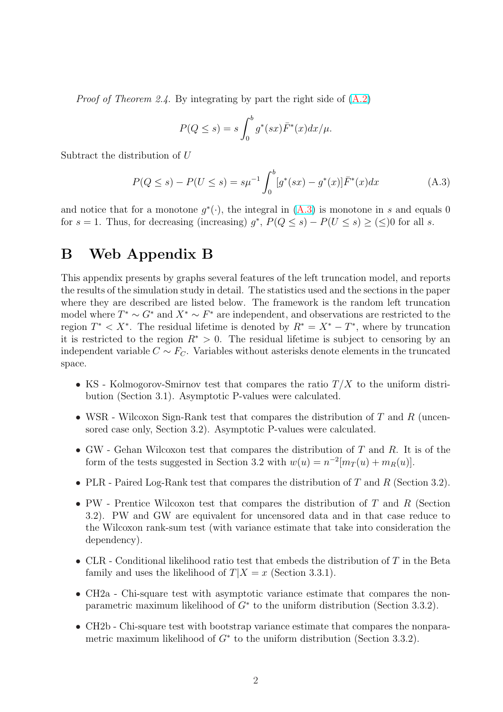*Proof of Theorem 2.4.* By integrating by part the right side of  $(A.2)$ 

$$
P(Q \le s) = s \int_0^b g^*(sx) \overline{F}^*(x) dx / \mu.
$$

Subtract the distribution of U

$$
P(Q \le s) - P(U \le s) = s\mu^{-1} \int_0^b [g^*(sx) - g^*(x)]\bar{F}^*(x)dx \tag{A.3}
$$

and notice that for a monotone  $g^*(\cdot)$ , the integral in  $(A.3)$  is monotone in s and equals 0 for  $s = 1$ . Thus, for decreasing (increasing)  $g^*$ ,  $P(Q \leq s) - P(U \leq s) \geq (\leq)0$  for all s.

## B Web Appendix B

This appendix presents by graphs several features of the left truncation model, and reports the results of the simulation study in detail. The statistics used and the sections in the paper where they are described are listed below. The framework is the random left truncation model where  $T^* \sim G^*$  and  $X^* \sim F^*$  are independent, and observations are restricted to the region  $T^* < X^*$ . The residual lifetime is denoted by  $R^* = X^* - T^*$ , where by truncation it is restricted to the region  $R^* > 0$ . The residual lifetime is subject to censoring by an independent variable  $C \sim F_C$ . Variables without asterisks denote elements in the truncated space.

- KS Kolmogorov-Smirnov test that compares the ratio  $T/X$  to the uniform distribution (Section 3.1). Asymptotic P-values were calculated.
- WSR Wilcoxon Sign-Rank test that compares the distribution of T and R (uncensored case only, Section 3.2). Asymptotic P-values were calculated.
- GW Gehan Wilcoxon test that compares the distribution of  $T$  and  $R$ . It is of the form of the tests suggested in Section 3.2 with  $w(u) = n^{-2}[m_T(u) + m_R(u)]$ .
- PLR Paired Log-Rank test that compares the distribution of T and R (Section 3.2).
- PW Prentice Wilcoxon test that compares the distribution of  $T$  and  $R$  (Section 3.2). PW and GW are equivalent for uncensored data and in that case reduce to the Wilcoxon rank-sum test (with variance estimate that take into consideration the dependency).
- CLR Conditional likelihood ratio test that embeds the distribution of T in the Beta family and uses the likelihood of  $T|X=x$  (Section 3.3.1).
- CH2a Chi-square test with asymptotic variance estimate that compares the nonparametric maximum likelihood of  $G^*$  to the uniform distribution (Section 3.3.2).
- CH2b Chi-square test with bootstrap variance estimate that compares the nonparametric maximum likelihood of  $G^*$  to the uniform distribution (Section 3.3.2).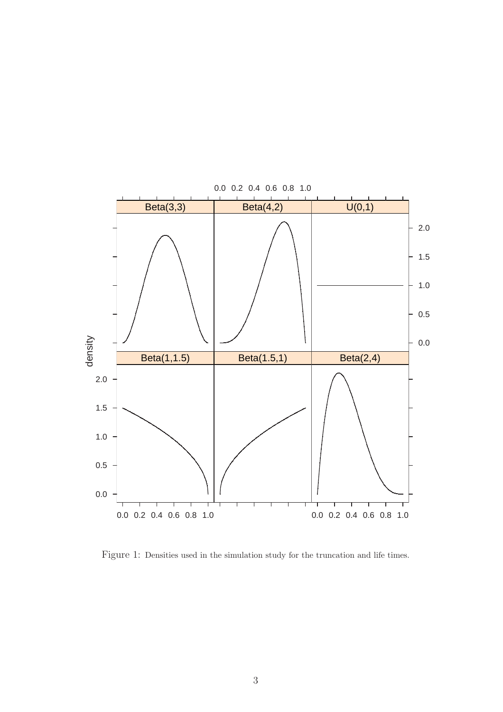

Figure 1: Densities used in the simulation study for the truncation and life times.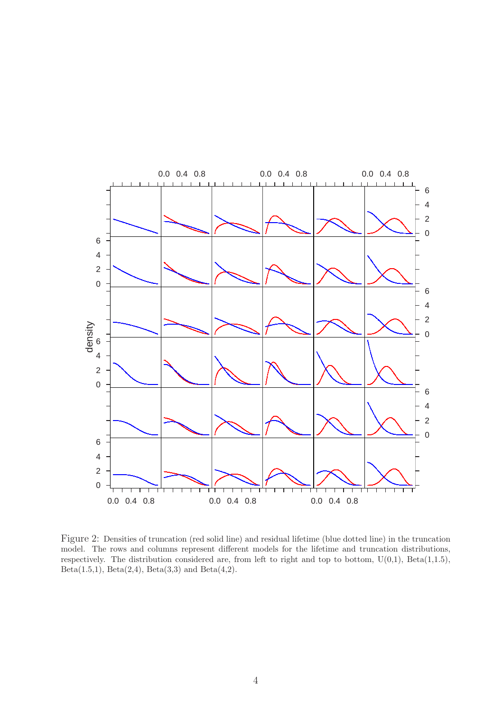

Figure 2: Densities of truncation (red solid line) and residual lifetime (blue dotted line) in the truncation model. The rows and columns represent different models for the lifetime and truncation distributions, respectively. The distribution considered are, from left to right and top to bottom,  $U(0,1)$ , Beta $(1,1.5)$ , Beta $(1.5,1)$ , Beta $(2,4)$ , Beta $(3,3)$  and Beta $(4,2)$ .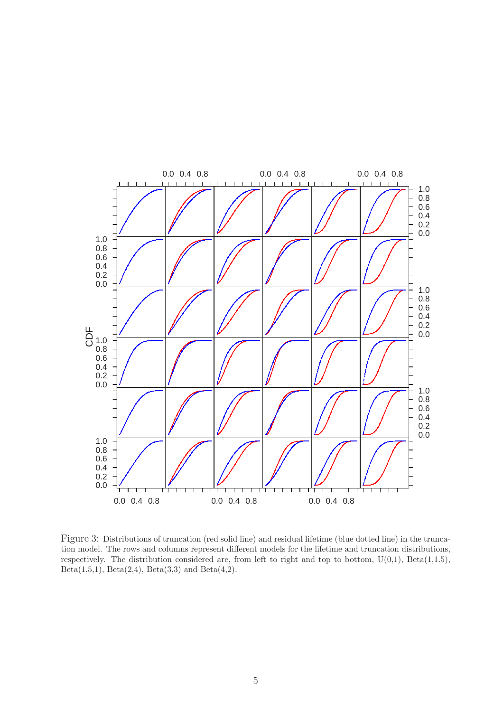

Figure 3: Distributions of truncation (red solid line) and residual lifetime (blue dotted line) in the truncation model. The rows and columns represent different models for the lifetime and truncation distributions, respectively. The distribution considered are, from left to right and top to bottom,  $U(0,1)$ , Beta(1,1.5), Beta $(1.5,1)$ , Beta $(2,4)$ , Beta $(3,3)$  and Beta $(4,2)$ .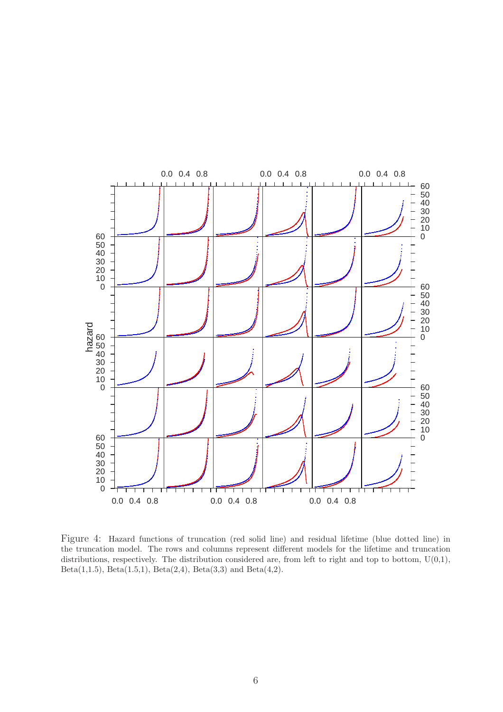

Figure 4: Hazard functions of truncation (red solid line) and residual lifetime (blue dotted line) in the truncation model. The rows and columns represent different models for the lifetime and truncation distributions, respectively. The distribution considered are, from left to right and top to bottom,  $U(0,1)$ , Beta(1,1.5), Beta(1.5,1), Beta(2,4), Beta(3,3) and Beta(4,2).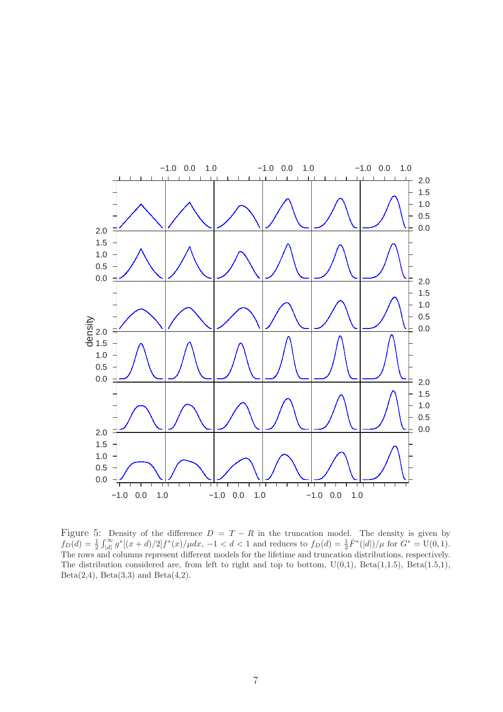

Figure 5: Density of the difference  $D = T - R$  in the truncation model. The density is given by  $f_D(d) = \frac{1}{2} \int_{|d|}^{\infty} g^*[(x+d)/2] f^*(x)/\mu dx$ ,  $-1 < d < 1$  and reduces to  $f_D(d) = \frac{1}{2} \overline{F}^*([d])/\mu$  for  $G^* = U(0,1)$ . The rows and columns represent different models for the lifetime and truncation distributions, respectively. The distribution considered are, from left to right and top to bottom,  $U(0,1)$ ,  $Beta(1,1.5)$ ,  $Beta(1.5,1)$ , Beta $(2,4)$ , Beta $(3,3)$  and Beta $(4,2)$ .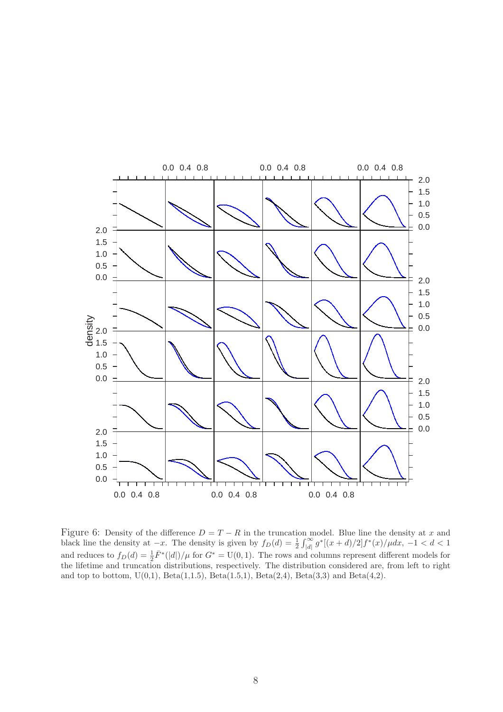

Figure 6: Density of the difference  $D = T - R$  in the truncation model. Blue line the density at x and black line the density at  $-x$ . The density is given by  $f_D(d) = \frac{1}{2}$ n n<br>∼∩  $\int_{|d|}^{\infty} g^*[(x+d)/2] f^*(x) / \mu dx, -1 < d < 1$ and reduces to  $f_D(d) = \frac{1}{2} \bar{F}^*(|d|)/\mu$  for  $G^* = U(0, 1)$ . The rows and columns represent different models for the lifetime and truncation distributions, respectively. The distribution considered are, from left to right and top to bottom,  $U(0,1)$ ,  $Beta(1,1.5)$ ,  $Beta(1.5,1)$ ,  $Beta(2,4)$ ,  $Beta(3,3)$  and  $Beta(4,2)$ .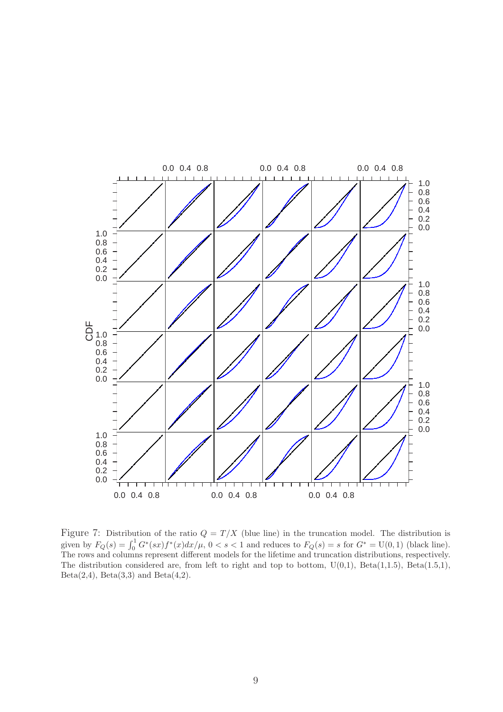

Figure 7: Distribution of the ratio  $Q = T/X$  (blue line) in the truncation model. The distribution is given by  $F_Q(s) = \int_0^1 G^*(sx) f^*(x) dx/\mu$ ,  $0 < s < 1$  and reduces to  $F_Q(s) = s$  for  $G^* = U(0, 1)$  (black line). The rows and columns represent different models for the lifetime and truncation distributions, respectively. The distribution considered are, from left to right and top to bottom,  $U(0,1)$ ,  $Beta(1,1.5)$ ,  $Beta(1.5,1)$ , Beta $(2,4)$ , Beta $(3,3)$  and Beta $(4,2)$ .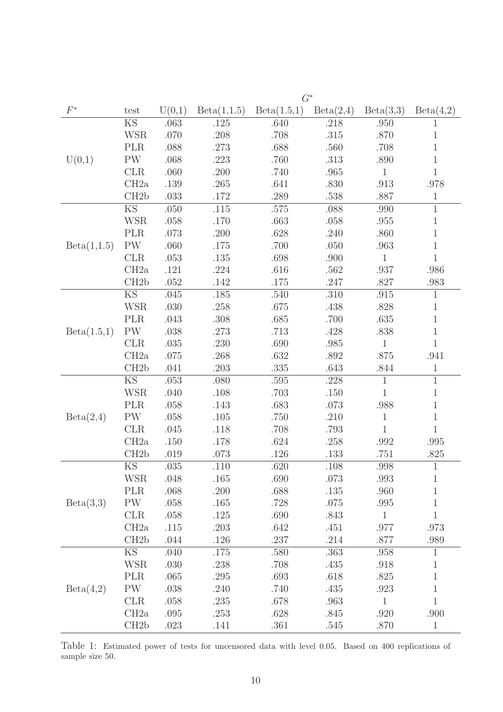|             | $G^*$                  |        |             |             |           |              |              |  |  |
|-------------|------------------------|--------|-------------|-------------|-----------|--------------|--------------|--|--|
| $F^*$       | test                   | U(0,1) | Beta(1,1.5) | Beta(1.5,1) | Beta(2,4) | Beta(3,3)    | Beta(4,2)    |  |  |
|             | <b>KS</b>              | .063   | .125        | .640        | .218      | .950         | 1            |  |  |
|             | <b>WSR</b>             | .070   | .208        | .708        | $.315\,$  | .870         | $\mathbf 1$  |  |  |
|             | <b>PLR</b>             | .088   | .273        | .688        | .560      | .708         | $\mathbf 1$  |  |  |
| U(0,1)      | $\mathrm{PW}$          | .068   | .223        | .760        | .313      | .890         | $\mathbf{1}$ |  |  |
|             | <b>CLR</b>             | .060   | .200        | .740        | .965      | $\mathbf{1}$ | $\mathbf{1}$ |  |  |
|             | CH2a                   | .139   | .265        | .641        | .830      | .913         | .978         |  |  |
|             | CH2b                   | .033   | .172        | .289        | .538      | .887         | $\mathbf{1}$ |  |  |
|             | KS                     | .050   | .115        | .575        | .088      | .990         | $\mathbf{1}$ |  |  |
|             | <b>WSR</b>             | .058   | .170        | .663        | .058      | .955         | $\mathbf 1$  |  |  |
|             | <b>PLR</b>             | .073   | .200        | .628        | .240      | .860         | $\,1$        |  |  |
| Beta(1,1.5) | $\mathrm{PW}$          | .060   | .175        | .700        | .050      | .963         | $\,1$        |  |  |
|             | CLR                    | .053   | .135        | .698        | .900      | $\,1$        | $\mathbf{1}$ |  |  |
|             | CH2a                   | .121   | .224        | .616        | .562      | .937         | .986         |  |  |
|             | CH <sub>2</sub> b      | .052   | .142        | .175        | .247      | .827         | .983         |  |  |
|             | <b>KS</b>              | .045   | .185        | .540        | .310      | .915         | $\mathbf{1}$ |  |  |
|             | <b>WSR</b>             | .030   | .258        | .675        | .438      | .828         | $\mathbf 1$  |  |  |
| Beta(1.5,1) | <b>PLR</b>             | .043   | .308        | .685        | .700      | .635         | $\,1$        |  |  |
|             | <b>PW</b>              | .038   | .273        | .713        | .428      | .838         | $1\,$        |  |  |
|             | CLR                    | .035   | .230        | .690        | .985      | $\,1\,$      | $\mathbf{1}$ |  |  |
|             | CH2a                   | .075   | .268        | .632        | .892      | .875         | .941         |  |  |
|             | CH2b                   | .041   | .203        | .335        | .643      | .844         | $\mathbf{1}$ |  |  |
|             | KS                     | .053   | .080        | .595        | .228      | $\mathbf{1}$ | $1\,$        |  |  |
|             | <b>WSR</b>             | .040   | .108        | .703        | .150      | $\mathbf{1}$ | $\mathbf 1$  |  |  |
|             | PLR                    | .058   | .143        | .683        | .073      | .988         | $1\,$        |  |  |
| Beta(2,4)   | <b>PW</b>              | .058   | $.105$      | .750        | .210      | $\mathbf 1$  | $1\,$        |  |  |
|             | CLR                    | .045   | .118        | .708        | .793      | $\mathbf{1}$ | $\mathbf{1}$ |  |  |
|             | CH2a                   | .150   | .178        | .624        | .258      | .992         | .995         |  |  |
|             | CH2b                   | .019   | .073        | .126        | .133      | .751         | .825         |  |  |
|             | $\mathop{\mathrm{KS}}$ | .035   | .110        | .620        | $.108\,$  | .998         | $\mathbf{1}$ |  |  |
|             | <b>WSR</b>             | .048   | .165        | .690        | .073      | .993         | $\mathbf{1}$ |  |  |
|             | <b>PLR</b>             | .068   | $.200\,$    | .688        | $.135\,$  | .960         | $\,1\,$      |  |  |
| Beta(3,3)   | PW                     | .058   | .165        | .728        | .075      | .995         | $\,1\,$      |  |  |
|             | CLR                    | .058   | .125        | .690        | .843      | $\mathbf{1}$ | $\mathbf{1}$ |  |  |
|             | CH2a                   | .115   | .203        | .642        | .451      | .977         | .973         |  |  |
|             | CH2b                   | .044   | .126        | .237        | .214      | $.877$       | .989         |  |  |
|             | $\overline{\text{KS}}$ | .040   | .175        | .580        | .363      | .958         | $\mathbf{1}$ |  |  |
|             | <b>WSR</b>             | .030   | .238        | .708        | .435      | .918         | $1\,$        |  |  |
|             | <b>PLR</b>             | .065   | .295        | .693        | .618      | .825         | $\,1\,$      |  |  |
| Beta(4,2)   | PW                     | .038   | .240        | .740        | .435      | .923         | $\,1\,$      |  |  |
|             | <b>CLR</b>             | .058   | .235        | .678        | .963      | $\mathbf{1}$ | $\mathbf{1}$ |  |  |
|             | CH2a                   | .095   | .253        | .628        | .845      | .920         | .900         |  |  |
|             | CH2b                   | .023   | .141        | .361        | .545      | .870         | $\mathbf{1}$ |  |  |

Table 1: Estimated power of tests for uncensored data with level 0.05. Based on 400 replications of sample size 50.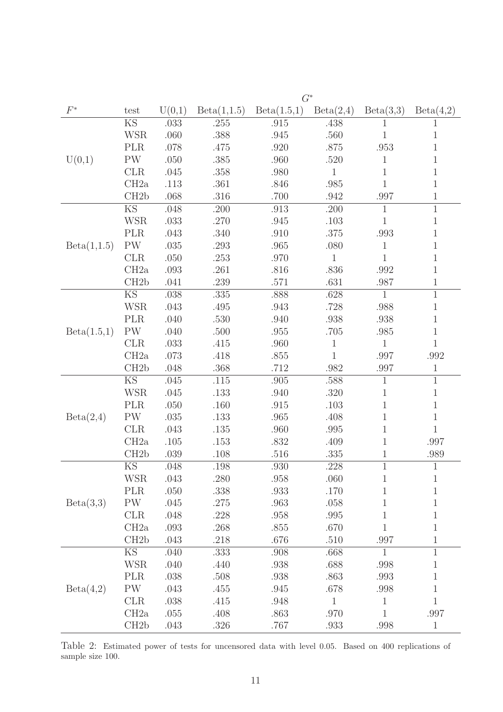|             | $G^*$                  |        |             |             |              |              |                |  |  |
|-------------|------------------------|--------|-------------|-------------|--------------|--------------|----------------|--|--|
| $F^\ast$    | test                   | U(0,1) | Beta(1,1.5) | Beta(1.5,1) | Beta(2,4)    | Beta(3,3)    | Beta(4,2)      |  |  |
|             | <b>KS</b>              | .033   | .255        | .915        | .438         | 1            | 1              |  |  |
|             | <b>WSR</b>             | .060   | .388        | .945        | .560         | $\mathbf{1}$ | $\mathbf 1$    |  |  |
|             | <b>PLR</b>             | .078   | .475        | .920        | .875         | $.953\,$     | 1              |  |  |
| U(0,1)      | PW                     | .050   | .385        | .960        | .520         | $\mathbf{1}$ | $\mathbf 1$    |  |  |
|             | <b>CLR</b>             | .045   | .358        | .980        | $\mathbf{1}$ | $\mathbf 1$  | $\mathbf 1$    |  |  |
|             | CH2a                   | .113   | .361        | .846        | .985         | $\mathbf 1$  | $\mathbf{1}$   |  |  |
|             | CH <sub>2</sub> b      | .068   | .316        | .700        | .942         | .997         | $\,1$          |  |  |
|             | $\overline{\text{KS}}$ | .048   | .200        | .913        | .200         | $\mathbf{1}$ | $\overline{1}$ |  |  |
|             | <b>WSR</b>             | .033   | .270        | .945        | .103         | $\mathbf{1}$ | $\mathbf{1}$   |  |  |
|             | <b>PLR</b>             | .043   | .340        | .910        | .375         | .993         | 1              |  |  |
| Beta(1,1.5) | <b>PW</b>              | .035   | .293        | .965        | .080         | $\mathbf{1}$ | $\mathbf{1}$   |  |  |
|             | <b>CLR</b>             | .050   | .253        | .970        | $\mathbf{1}$ | $\mathbf{1}$ | $\mathbf 1$    |  |  |
|             | CH2a                   | .093   | .261        | .816        | .836         | .992         | $\mathbf{1}$   |  |  |
|             | CH <sub>2</sub> b      | .041   | .239        | .571        | .631         | .987         | $\mathbf 1$    |  |  |
|             | <b>KS</b>              | .038   | .335        | .888        | .628         | $\mathbf{1}$ | $\mathbf{1}$   |  |  |
|             | <b>WSR</b>             | .043   | .495        | .943        | .728         | .988         | $\mathbf 1$    |  |  |
| Beta(1.5,1) | <b>PLR</b>             | .040   | .530        | .940        | .938         | .938         | 1              |  |  |
|             | <b>PW</b>              | .040   | .500        | .955        | .705         | .985         | $\mathbf 1$    |  |  |
|             | CLR                    | .033   | .415        | .960        | $\mathbf{1}$ | $\mathbf{1}$ | $\mathbf 1$    |  |  |
|             | CH2a                   | .073   | .418        | .855        | $\mathbf{1}$ | .997         | .992           |  |  |
|             | CH <sub>2</sub> b      | .048   | .368        | .712        | .982         | .997         | $\mathbf 1$    |  |  |
|             | KS                     | .045   | .115        | .905        | .588         | $\mathbf{1}$ | $\mathbf{1}$   |  |  |
|             | <b>WSR</b>             | .045   | .133        | .940        | .320         | $\mathbf{1}$ | $\mathbf 1$    |  |  |
|             | <b>PLR</b>             | .050   | .160        | .915        | .103         | $\mathbf 1$  | $\mathbf 1$    |  |  |
| Beta(2,4)   | PW                     | .035   | .133        | .965        | .408         | 1            | $\,1$          |  |  |
|             | <b>CLR</b>             | .043   | .135        | .960        | .995         | $\mathbf 1$  | $\mathbf{1}$   |  |  |
|             | CH2a                   | .105   | .153        | .832        | .409         | 1            | .997           |  |  |
|             | CH2b                   | .039   | .108        | .516        | .335         | 1            | .989           |  |  |
|             | $\mathop{\mathrm{KS}}$ | .048   | .198        | .930        | .228         | $\mathbf{1}$ | 1              |  |  |
|             | <b>WSR</b>             | .043   | .280        | .958        | .060         | $\mathbf{1}$ | $\mathbf 1$    |  |  |
|             | <b>PLR</b>             | .050   | .338        | .933        | .170         | $\mathbf 1$  | $\,1$          |  |  |
| Beta(3,3)   | $\mathrm{PW}$          | .045   | .275        | .963        | .058         | $\mathbf{1}$ | $\mathbf 1$    |  |  |
|             | <b>CLR</b>             | .048   | .228        | .958        | .995         | $\mathbf 1$  | $\,1$          |  |  |
|             | CH2a                   | .093   | .268        | .855        | .670         | $\mathbf 1$  | $\mathbf 1$    |  |  |
|             | CH <sub>2</sub> b      | .043   | .218        | $.676\,$    | .510         | .997         | $\mathbf 1$    |  |  |
|             | $\overline{\text{KS}}$ | .040   | .333        | .908        | .668         | $\mathbf{1}$ | $\,1$          |  |  |
|             | <b>WSR</b>             | .040   | .440        | .938        | .688         | .998         | $\mathbf 1$    |  |  |
|             | <b>PLR</b>             | .038   | .508        | .938        | .863         | .993         | $\mathbf 1$    |  |  |
| Beta(4,2)   | PW                     | .043   | .455        | .945        | .678         | .998         | 1              |  |  |
|             | <b>CLR</b>             | .038   | .415        | .948        | $\mathbf{1}$ | $\mathbf{1}$ | $\mathbf 1$    |  |  |
|             | CH2a                   | .055   | .408        | .863        | .970         | $\,1\,$      | .997           |  |  |
|             | CH2b                   | .043   | .326        | .767        | .933         | .998         | $\mathbf{1}$   |  |  |

Table 2: Estimated power of tests for uncensored data with level 0.05. Based on 400 replications of sample size 100.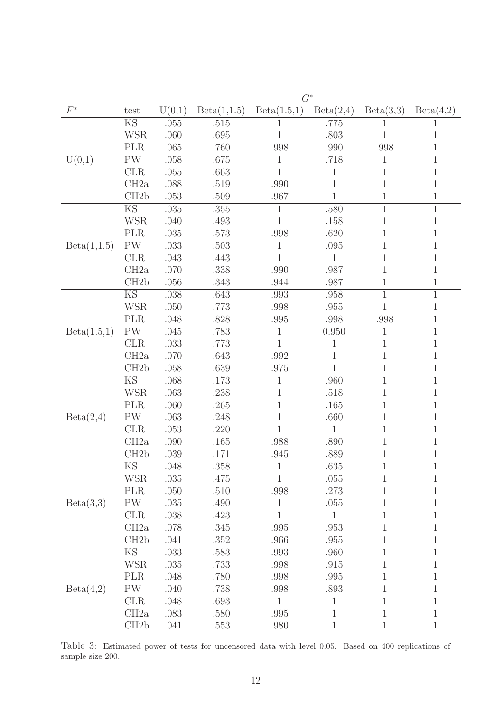|             | $G^*$                  |          |             |              |                |                |              |  |  |
|-------------|------------------------|----------|-------------|--------------|----------------|----------------|--------------|--|--|
| $F^*$       | test                   | U(0,1)   | Beta(1,1.5) | Beta(1.5,1)  | Beta(2,4)      | Beta(3,3)      | Beta(4,2)    |  |  |
|             | <b>KS</b>              | .055     | .515        | 1            | .775           | 1              | 1            |  |  |
|             | <b>WSR</b>             | .060     | .695        | $\mathbf 1$  | .803           | $\mathbf{1}$   | 1            |  |  |
|             | <b>PLR</b>             | .065     | .760        | .998         | .990           | .998           | 1            |  |  |
| U(0,1)      | PW                     | .058     | .675        | 1            | .718           | 1              | 1            |  |  |
|             | <b>CLR</b>             | .055     | .663        | 1            | $\mathbf 1$    | 1              | 1            |  |  |
|             | CH2a                   | .088     | .519        | .990         | $\mathbf 1$    | 1              | $\mathbf 1$  |  |  |
|             | CH <sub>2</sub> b      | .053     | .509        | .967         | $\overline{1}$ | $\mathbf 1$    | $\mathbf 1$  |  |  |
|             | $\overline{\text{KS}}$ | .035     | .355        | $\mathbf{1}$ | .580           | $\mathbf{1}$   | $\mathbf{1}$ |  |  |
|             | <b>WSR</b>             | .040     | .493        | $\mathbf{1}$ | .158           | $\mathbf{1}$   | $\mathbf 1$  |  |  |
|             | <b>PLR</b>             | $.035\,$ | .573        | .998         | .620           | 1              | 1            |  |  |
| Beta(1,1.5) | <b>PW</b>              | .033     | .503        | $\mathbf{1}$ | .095           | 1              | $\mathbf{1}$ |  |  |
|             | <b>CLR</b>             | .043     | .443        | $\mathbf{1}$ | $\mathbf{1}$   | 1              | $\mathbf{1}$ |  |  |
|             | CH2a                   | .070     | .338        | .990         | .987           | 1              | 1            |  |  |
|             | CH <sub>2</sub> b      | .056     | .343        | .944         | .987           | 1              | $\mathbf 1$  |  |  |
|             | <b>KS</b>              | .038     | .643        | .993         | .958           | $\overline{1}$ | $\mathbf{1}$ |  |  |
|             | <b>WSR</b>             | .050     | .773        | .998         | .955           | 1              | $\mathbf 1$  |  |  |
|             | <b>PLR</b>             | .048     | .828        | .995         | .998           | .998           | 1            |  |  |
| Beta(1.5,1) | <b>PW</b>              | .045     | .783        | $\mathbf{1}$ | 0.950          | $\mathbf{1}$   | 1            |  |  |
|             | <b>CLR</b>             | .033     | .773        | $\mathbf{1}$ | $\mathbf{1}$   | $\mathbf{1}$   | $\mathbf{1}$ |  |  |
|             | CH2a                   | .070     | .643        | .992         | $\mathbf{1}$   | $\mathbf{1}$   | $\mathbf 1$  |  |  |
|             | CH <sub>2</sub> b      | .058     | .639        | .975         | $\mathbf{1}$   | $\mathbf{1}$   | $\mathbf{1}$ |  |  |
|             | KS                     | .068     | .173        | 1            | .960           | $\mathbf{1}$   | $\mathbf{1}$ |  |  |
|             | <b>WSR</b>             | .063     | .238        | 1            | .518           | 1              | $\mathbf 1$  |  |  |
|             | <b>PLR</b>             | .060     | .265        | $\mathbf 1$  | .165           | 1              | $\mathbf 1$  |  |  |
| Beta(2,4)   | PW                     | .063     | .248        | 1            | .660           | 1              | 1            |  |  |
|             | CLR                    | .053     | .220        | 1            | $\mathbf{1}$   | 1              | 1            |  |  |
|             | CH2a                   | .090     | .165        | .988         | .890           | 1              | $\mathbf 1$  |  |  |
|             | CH <sub>2</sub> b      | .039     | .171        | .945         | .889           | 1              | $\mathbf 1$  |  |  |
|             | $\mathop{\mathrm{KS}}$ | .048     | .358        | 1            | .635           | $\mathbf{1}$   | 1            |  |  |
|             | <b>WSR</b>             | .035     | .475        | $\mathbf{1}$ | .055           | $\mathbf{1}$   | 1            |  |  |
|             | <b>PLR</b>             | .050     | .510        | $.998\,$     | .273           | 1              | $\mathbf 1$  |  |  |
| Beta(3,3)   | $\mathrm{PW}$          | .035     | .490        | $\mathbf{1}$ | .055           | $\mathbf{1}$   | $\mathbf{1}$ |  |  |
|             | CLR                    | .038     | .423        | 1            | $\mathbf{1}$   | $\mathbf 1$    | $\mathbf 1$  |  |  |
|             | CH2a                   | .078     | .345        | .995         | .953           | $\mathbf{1}$   | 1            |  |  |
|             | CH <sub>2</sub> b      | .041     | .352        | .966         | .955           | 1              | $\mathbf{1}$ |  |  |
|             | $\overline{\text{KS}}$ | .033     | .583        | .993         | .960           | $\,1\,$        | $\,1$        |  |  |
|             | <b>WSR</b>             | .035     | .733        | .998         | .915           | 1              | $\mathbf 1$  |  |  |
|             | <b>PLR</b>             | .048     | .780        | .998         | .995           | 1              | $\mathbf 1$  |  |  |
| Beta(4,2)   | $\mathrm{PW}$          | .040     | .738        | .998         | .893           | 1              | 1            |  |  |
|             | <b>CLR</b>             | .048     | .693        | $\mathbf{1}$ | $\mathbf{1}$   | 1              | $\mathbf 1$  |  |  |
|             | CH2a                   | .083     | .580        | $.995\,$     | $\mathbf{1}$   | $\mathbf{1}$   | $\,1$        |  |  |
|             | CH2b                   | .041     | .553        | .980         | $\mathbf{1}$   | $\mathbf{1}$   | $\mathbf 1$  |  |  |

Table 3: Estimated power of tests for uncensored data with level 0.05. Based on 400 replications of sample size 200.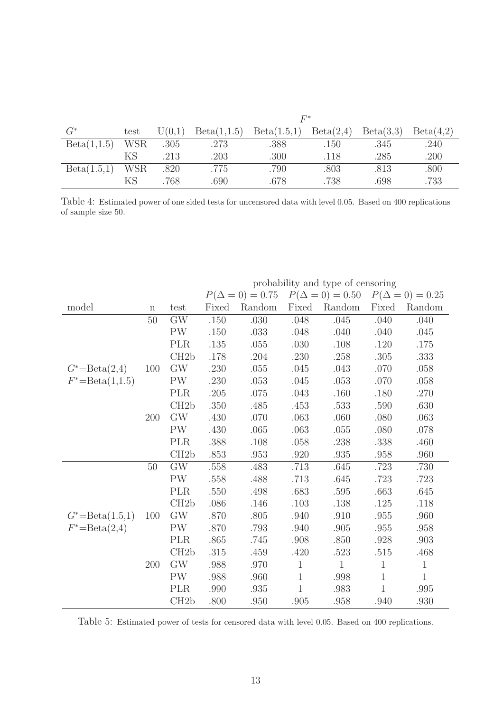|             |            | $F^\ast$ |             |             |           |           |           |  |  |
|-------------|------------|----------|-------------|-------------|-----------|-----------|-----------|--|--|
| $G^*$       | test       | U(0,1)   | Beta(1,1.5) | Beta(1.5,1) | Beta(2,4) | Beta(3,3) | Beta(4,2) |  |  |
| Beta(1,1.5) | <b>WSR</b> | .305     | .273        | .388        | .150      | .345      | .240      |  |  |
|             | ΚS         | .213     | .203        | .300        | .118      | .285      | .200      |  |  |
| Beta(1.5,1) | <b>WSR</b> | .820     | .775        | .790        | .803      | .813      | .800      |  |  |
|             | ΚS         | .768     | .690        | .678        | .738      | .698      | .733      |  |  |

Table 4: Estimated power of one sided tests for uncensored data with level 0.05. Based on 400 replications of sample size 50.

|                      |             |                     |          |          |              | probability and type of comporting | $P(\Delta = 0) = 0.75$ $P(\Delta = 0) = 0.50$ $P(\Delta = 0) = 0.25$ |              |
|----------------------|-------------|---------------------|----------|----------|--------------|------------------------------------|----------------------------------------------------------------------|--------------|
| model                | $\mathbf n$ | test                | Fixed    | Random   |              | Fixed Random                       | Fixed                                                                | Random       |
|                      | 50          | GW                  | $.150\,$ | .030     | .048         | .045                               | .040                                                                 | .040         |
|                      |             | <b>PW</b>           | .150     | .033     | .048         | .040                               | .040                                                                 | .045         |
|                      |             | <b>PLR</b>          | .135     | .055     | .030         | .108                               | .120                                                                 | .175         |
|                      |             | CH2b                | $.178\,$ | .204     | .230         | .258                               | .305                                                                 | .333         |
| $G^*$ =Beta $(2,4)$  | 100         | $\mathrm{GW}$       | .230     | $.055\,$ | .045         | .043                               | .070                                                                 | $.058\,$     |
| $F^* = Beta(1, 1.5)$ |             | PW                  | .230     | .053     | .045         | .053                               | .070                                                                 | .058         |
|                      |             | <b>PLR</b>          | $.205\,$ | $.075\,$ | .043         | .160                               | .180                                                                 | .270         |
|                      |             | CH2b                | .350     | .485     | .453         | .533                               | .590                                                                 | $.630\,$     |
|                      | 200         | GW                  | .430     | .070     | .063         | .060                               | .080                                                                 | .063         |
|                      |             | <b>PW</b>           | .430     | .065     | .063         | .055                               | .080                                                                 | .078         |
|                      |             | PLR                 | .388     | $.108\,$ | $.058\,$     | .238                               | .338                                                                 | .460         |
|                      |             | CH2b                | .853     | .953     | .920         | .935                               | .958                                                                 | .960         |
|                      | 50          | $\overline{\rm GW}$ | .558     | .483     | .713         | .645                               | .723                                                                 | .730         |
|                      |             | $\mathrm{PW}$       | .558     | .488     | .713         | .645                               | .723                                                                 | .723         |
|                      |             | <b>PLR</b>          | .550     | .498     | .683         | .595                               | .663                                                                 | .645         |
|                      |             | CH2b                | .086     | .146     | .103         | $.138\,$                           | $.125\,$                                                             | .118         |
| $G^* = Beta(1.5,1)$  | 100         | $\mathrm{GW}$       | .870     | $.805$   | .940         | .910                               | .955                                                                 | .960         |
| $F^* = Beta(2, 4)$   |             | PW                  | .870     | .793     | .940         | $.905\,$                           | $.955\,$                                                             | .958         |
|                      |             | <b>PLR</b>          | .865     | .745     | .908         | .850                               | $.928\,$                                                             | .903         |
|                      |             | CH2b                | .315     | .459     | .420         | .523                               | $.515\,$                                                             | .468         |
|                      | 200         | GW                  | .988     | .970     | $\mathbf{1}$ | $\mathbf{1}$                       | $\mathbf{1}$                                                         | $\mathbf{1}$ |
|                      |             | <b>PW</b>           | .988     | .960     | $\mathbf{1}$ | .998                               | $\mathbf 1$                                                          | $\mathbf{1}$ |
|                      |             | <b>PLR</b>          | .990     | .935     | $\mathbf{1}$ | .983                               | $\mathbf 1$                                                          | $.995\,$     |
|                      |             | CH2b                | .800     | .950     | .905         | .958                               | .940                                                                 | .930         |

probability and type of censoring

Table 5: Estimated power of tests for censored data with level 0.05. Based on 400 replications.